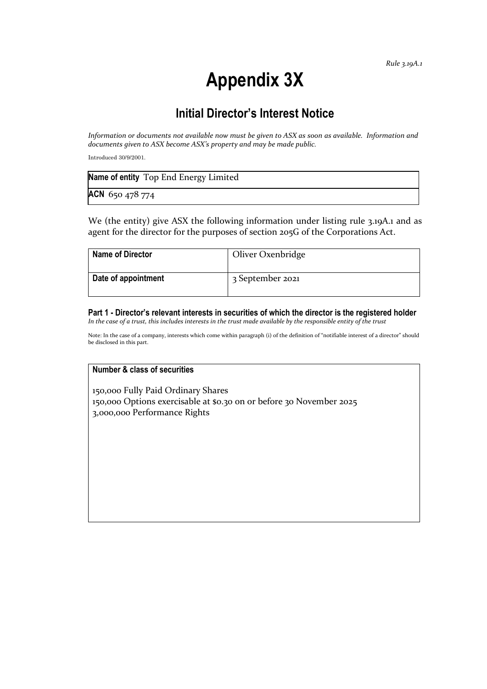# **Appendix 3X**

# **Initial Director's Interest Notice**

*Information or documents not available now must be given to ASX as soon as available. Information and documents given to ASX become ASX's property and may be made public.*

Introduced 30/9/2001.

| Name of entity Top End Energy Limited |  |
|---------------------------------------|--|
| ACN 650 478 774                       |  |

We (the entity) give ASX the following information under listing rule 3.19A.1 and as agent for the director for the purposes of section 205G of the Corporations Act.

| <b>Name of Director</b> | Oliver Oxenbridge |
|-------------------------|-------------------|
| Date of appointment     | 3 September 2021  |

**Part 1 - Director's relevant interests in securities of which the director is the registered holder** *In the case of a trust, this includes interests in the trust made available by the responsible entity of the trust*

Note: In the case of a company, interests which come within paragraph (i) of the definition of "notifiable interest of a director" should be disclosed in this part.

### **Number & class of securities**

150,000 Fully Paid Ordinary Shares 150,000 Options exercisable at \$0.30 on or before 30 November 2025 3,000,000 Performance Rights